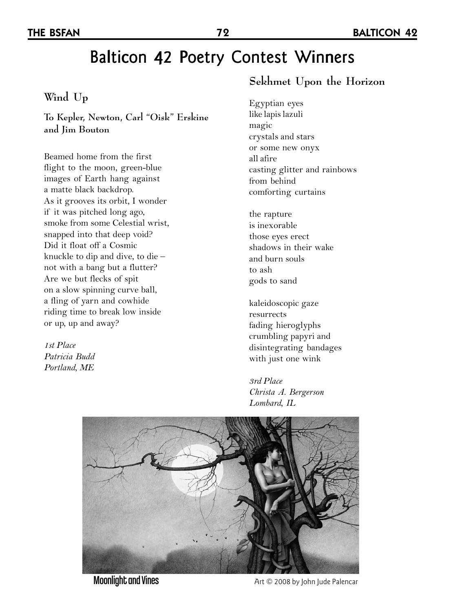# Balticon 42 Poetry Contest Winners

#### **Wind Up**

**To Kepler, Newton, Carl "Oisk" Erskine and Jim Bouton**

Beamed home from the first flight to the moon, green-blue images of Earth hang against a matte black backdrop. As it grooves its orbit, I wonder if it was pitched long ago, smoke from some Celestial wrist, snapped into that deep void? Did it float off a Cosmic knuckle to dip and dive, to die – not with a bang but a flutter? Are we but flecks of spit on a slow spinning curve ball, a fling of yarn and cowhide riding time to break low inside or up, up and away?

*1st Place Patricia Budd Portland, ME*

#### **Sekhmet Upon the Horizon**

Egyptian eyes like lapis lazuli magic crystals and stars or some new onyx all afire casting glitter and rainbows from behind comforting curtains

the rapture is inexorable those eyes erect shadows in their wake and burn souls to ash gods to sand

kaleidoscopic gaze resurrects fading hieroglyphs crumbling papyri and disintegrating bandages with just one wink

*3rd Place Christa A. Bergerson Lombard, IL*



Moonlight and Vines Moonlight and Vines